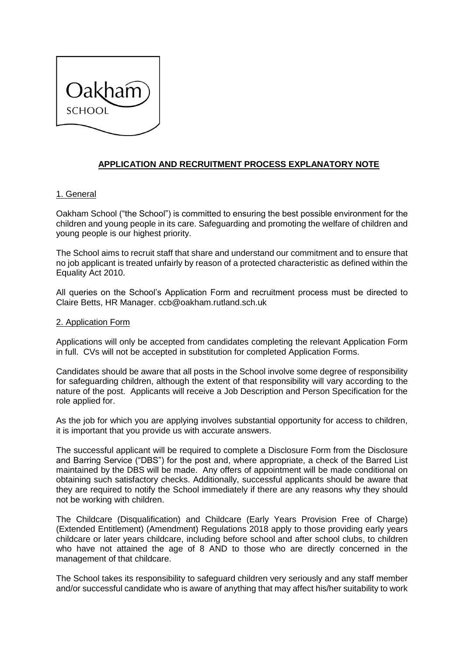

# **APPLICATION AND RECRUITMENT PROCESS EXPLANATORY NOTE**

## 1. General

Oakham School ("the School") is committed to ensuring the best possible environment for the children and young people in its care. Safeguarding and promoting the welfare of children and young people is our highest priority.

The School aims to recruit staff that share and understand our commitment and to ensure that no job applicant is treated unfairly by reason of a protected characteristic as defined within the Equality Act 2010.

All queries on the School's Application Form and recruitment process must be directed to Claire Betts, HR Manager. ccb@oakham.rutland.sch.uk

## 2. Application Form

Applications will only be accepted from candidates completing the relevant Application Form in full. CVs will not be accepted in substitution for completed Application Forms.

Candidates should be aware that all posts in the School involve some degree of responsibility for safeguarding children, although the extent of that responsibility will vary according to the nature of the post. Applicants will receive a Job Description and Person Specification for the role applied for.

As the job for which you are applying involves substantial opportunity for access to children, it is important that you provide us with accurate answers.

The successful applicant will be required to complete a Disclosure Form from the Disclosure and Barring Service ("DBS") for the post and, where appropriate, a check of the Barred List maintained by the DBS will be made. Any offers of appointment will be made conditional on obtaining such satisfactory checks. Additionally, successful applicants should be aware that they are required to notify the School immediately if there are any reasons why they should not be working with children.

The Childcare (Disqualification) and Childcare (Early Years Provision Free of Charge) (Extended Entitlement) (Amendment) Regulations 2018 apply to those providing early years childcare or later years childcare, including before school and after school clubs, to children who have not attained the age of 8 AND to those who are directly concerned in the management of that childcare.

The School takes its responsibility to safeguard children very seriously and any staff member and/or successful candidate who is aware of anything that may affect his/her suitability to work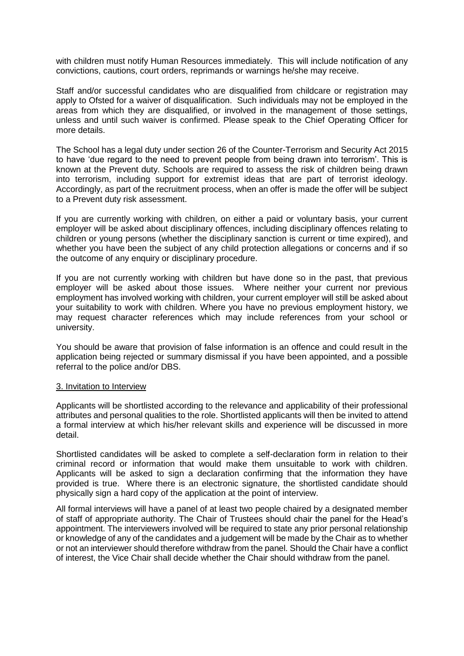with children must notify Human Resources immediately. This will include notification of any convictions, cautions, court orders, reprimands or warnings he/she may receive.

Staff and/or successful candidates who are disqualified from childcare or registration may apply to Ofsted for a waiver of disqualification. Such individuals may not be employed in the areas from which they are disqualified, or involved in the management of those settings, unless and until such waiver is confirmed. Please speak to the Chief Operating Officer for more details.

The School has a legal duty under section 26 of the Counter-Terrorism and Security Act 2015 to have 'due regard to the need to prevent people from being drawn into terrorism'. This is known at the Prevent duty. Schools are required to assess the risk of children being drawn into terrorism, including support for extremist ideas that are part of terrorist ideology. Accordingly, as part of the recruitment process, when an offer is made the offer will be subject to a Prevent duty risk assessment.

If you are currently working with children, on either a paid or voluntary basis, your current employer will be asked about disciplinary offences, including disciplinary offences relating to children or young persons (whether the disciplinary sanction is current or time expired), and whether you have been the subject of any child protection allegations or concerns and if so the outcome of any enquiry or disciplinary procedure.

If you are not currently working with children but have done so in the past, that previous employer will be asked about those issues. Where neither your current nor previous employment has involved working with children, your current employer will still be asked about your suitability to work with children. Where you have no previous employment history, we may request character references which may include references from your school or university.

You should be aware that provision of false information is an offence and could result in the application being rejected or summary dismissal if you have been appointed, and a possible referral to the police and/or DBS.

## 3. Invitation to Interview

Applicants will be shortlisted according to the relevance and applicability of their professional attributes and personal qualities to the role. Shortlisted applicants will then be invited to attend a formal interview at which his/her relevant skills and experience will be discussed in more detail.

Shortlisted candidates will be asked to complete a self-declaration form in relation to their criminal record or information that would make them unsuitable to work with children. Applicants will be asked to sign a declaration confirming that the information they have provided is true. Where there is an electronic signature, the shortlisted candidate should physically sign a hard copy of the application at the point of interview.

All formal interviews will have a panel of at least two people chaired by a designated member of staff of appropriate authority. The Chair of Trustees should chair the panel for the Head's appointment. The interviewers involved will be required to state any prior personal relationship or knowledge of any of the candidates and a judgement will be made by the Chair as to whether or not an interviewer should therefore withdraw from the panel. Should the Chair have a conflict of interest, the Vice Chair shall decide whether the Chair should withdraw from the panel.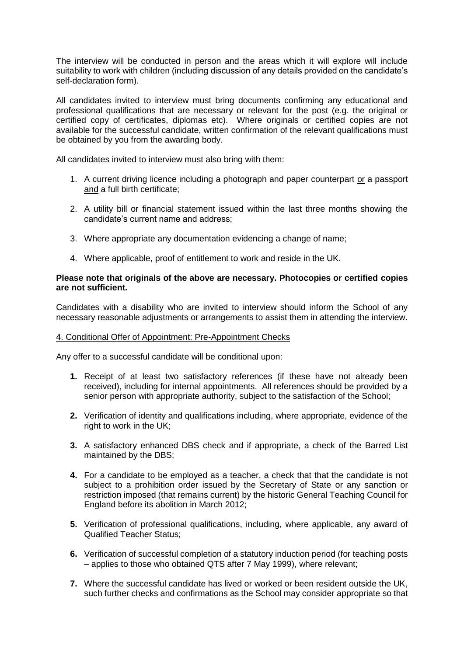The interview will be conducted in person and the areas which it will explore will include suitability to work with children (including discussion of any details provided on the candidate's self-declaration form).

All candidates invited to interview must bring documents confirming any educational and professional qualifications that are necessary or relevant for the post (e.g. the original or certified copy of certificates, diplomas etc). Where originals or certified copies are not available for the successful candidate, written confirmation of the relevant qualifications must be obtained by you from the awarding body.

All candidates invited to interview must also bring with them:

- 1. A current driving licence including a photograph and paper counterpart or a passport and a full birth certificate;
- 2. A utility bill or financial statement issued within the last three months showing the candidate's current name and address;
- 3. Where appropriate any documentation evidencing a change of name:
- 4. Where applicable, proof of entitlement to work and reside in the UK.

## **Please note that originals of the above are necessary. Photocopies or certified copies are not sufficient.**

Candidates with a disability who are invited to interview should inform the School of any necessary reasonable adjustments or arrangements to assist them in attending the interview.

## 4. Conditional Offer of Appointment: Pre-Appointment Checks

Any offer to a successful candidate will be conditional upon:

- **1.** Receipt of at least two satisfactory references (if these have not already been received), including for internal appointments. All references should be provided by a senior person with appropriate authority, subject to the satisfaction of the School;
- **2.** Verification of identity and qualifications including, where appropriate, evidence of the right to work in the UK;
- **3.** A satisfactory enhanced DBS check and if appropriate, a check of the Barred List maintained by the DBS;
- **4.** For a candidate to be employed as a teacher, a check that that the candidate is not subject to a prohibition order issued by the Secretary of State or any sanction or restriction imposed (that remains current) by the historic General Teaching Council for England before its abolition in March 2012;
- **5.** Verification of professional qualifications, including, where applicable, any award of Qualified Teacher Status;
- **6.** Verification of successful completion of a statutory induction period (for teaching posts – applies to those who obtained QTS after 7 May 1999), where relevant;
- **7.** Where the successful candidate has lived or worked or been resident outside the UK, such further checks and confirmations as the School may consider appropriate so that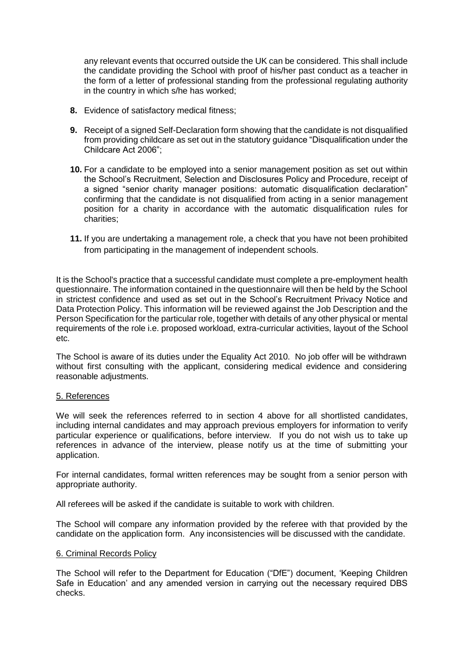any relevant events that occurred outside the UK can be considered. This shall include the candidate providing the School with proof of his/her past conduct as a teacher in the form of a letter of professional standing from the professional regulating authority in the country in which s/he has worked;

- **8.** Evidence of satisfactory medical fitness;
- **9.** Receipt of a signed Self-Declaration form showing that the candidate is not disqualified from providing childcare as set out in the statutory guidance "Disqualification under the Childcare Act 2006";
- **10.** For a candidate to be employed into a senior management position as set out within the School's Recruitment, Selection and Disclosures Policy and Procedure, receipt of a signed "senior charity manager positions: automatic disqualification declaration" confirming that the candidate is not disqualified from acting in a senior management position for a charity in accordance with the automatic disqualification rules for charities;
- **11.** If you are undertaking a management role, a check that you have not been prohibited from participating in the management of independent schools.

It is the School's practice that a successful candidate must complete a pre-employment health questionnaire. The information contained in the questionnaire will then be held by the School in strictest confidence and used as set out in the School's Recruitment Privacy Notice and Data Protection Policy. This information will be reviewed against the Job Description and the Person Specification for the particular role, together with details of any other physical or mental requirements of the role i.e. proposed workload, extra-curricular activities, layout of the School etc.

The School is aware of its duties under the Equality Act 2010. No job offer will be withdrawn without first consulting with the applicant, considering medical evidence and considering reasonable adjustments.

## 5. References

We will seek the references referred to in section 4 above for all shortlisted candidates, including internal candidates and may approach previous employers for information to verify particular experience or qualifications, before interview. If you do not wish us to take up references in advance of the interview, please notify us at the time of submitting your application.

For internal candidates, formal written references may be sought from a senior person with appropriate authority.

All referees will be asked if the candidate is suitable to work with children.

The School will compare any information provided by the referee with that provided by the candidate on the application form. Any inconsistencies will be discussed with the candidate.

## 6. Criminal Records Policy

The School will refer to the Department for Education ("DfE") document, 'Keeping Children Safe in Education' and any amended version in carrying out the necessary required DBS checks.